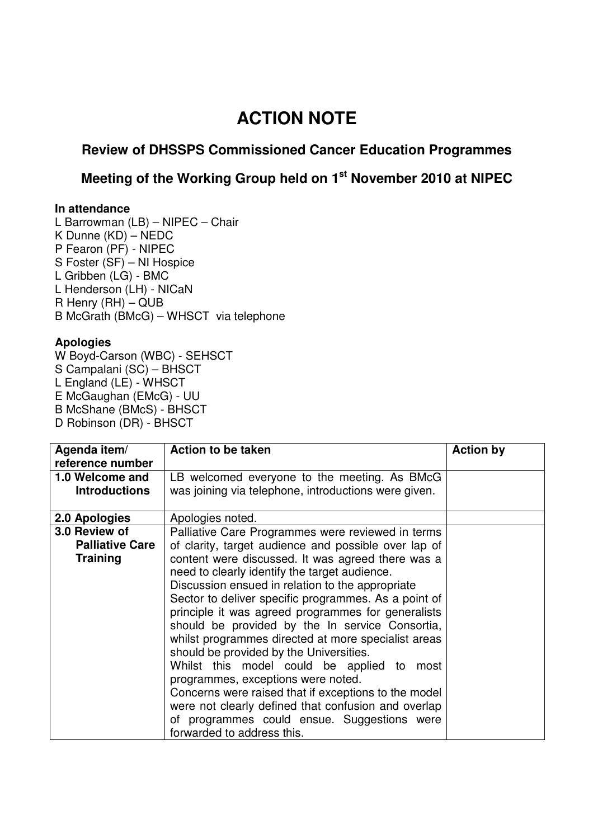## **ACTION NOTE**

## **Review of DHSSPS Commissioned Cancer Education Programmes**

**Meeting of the Working Group held on 1st November 2010 at NIPEC** 

## **In attendance**

L Barrowman (LB) – NIPEC – Chair K Dunne (KD) – NEDC P Fearon (PF) - NIPEC S Foster (SF) – NI Hospice L Gribben (LG) - BMC L Henderson (LH) - NICaN R Henry (RH) – QUB B McGrath (BMcG) – WHSCT via telephone

## **Apologies**

W Boyd-Carson (WBC) - SEHSCT S Campalani (SC) – BHSCT L England (LE) - WHSCT E McGaughan (EMcG) - UU B McShane (BMcS) - BHSCT D Robinson (DR) - BHSCT

| Agenda item/           | Action to be taken                                   | <b>Action by</b> |
|------------------------|------------------------------------------------------|------------------|
| reference number       |                                                      |                  |
| 1.0 Welcome and        | LB welcomed everyone to the meeting. As BMcG         |                  |
| <b>Introductions</b>   | was joining via telephone, introductions were given. |                  |
|                        |                                                      |                  |
| 2.0 Apologies          | Apologies noted.                                     |                  |
| 3.0 Review of          | Palliative Care Programmes were reviewed in terms    |                  |
| <b>Palliative Care</b> | of clarity, target audience and possible over lap of |                  |
| <b>Training</b>        | content were discussed. It was agreed there was a    |                  |
|                        | need to clearly identify the target audience.        |                  |
|                        | Discussion ensued in relation to the appropriate     |                  |
|                        | Sector to deliver specific programmes. As a point of |                  |
|                        | principle it was agreed programmes for generalists   |                  |
|                        | should be provided by the In service Consortia,      |                  |
|                        |                                                      |                  |
|                        | whilst programmes directed at more specialist areas  |                  |
|                        | should be provided by the Universities.              |                  |
|                        | Whilst this model could be applied to most           |                  |
|                        | programmes, exceptions were noted.                   |                  |
|                        | Concerns were raised that if exceptions to the model |                  |
|                        | were not clearly defined that confusion and overlap  |                  |
|                        | of programmes could ensue. Suggestions were          |                  |
|                        | forwarded to address this.                           |                  |